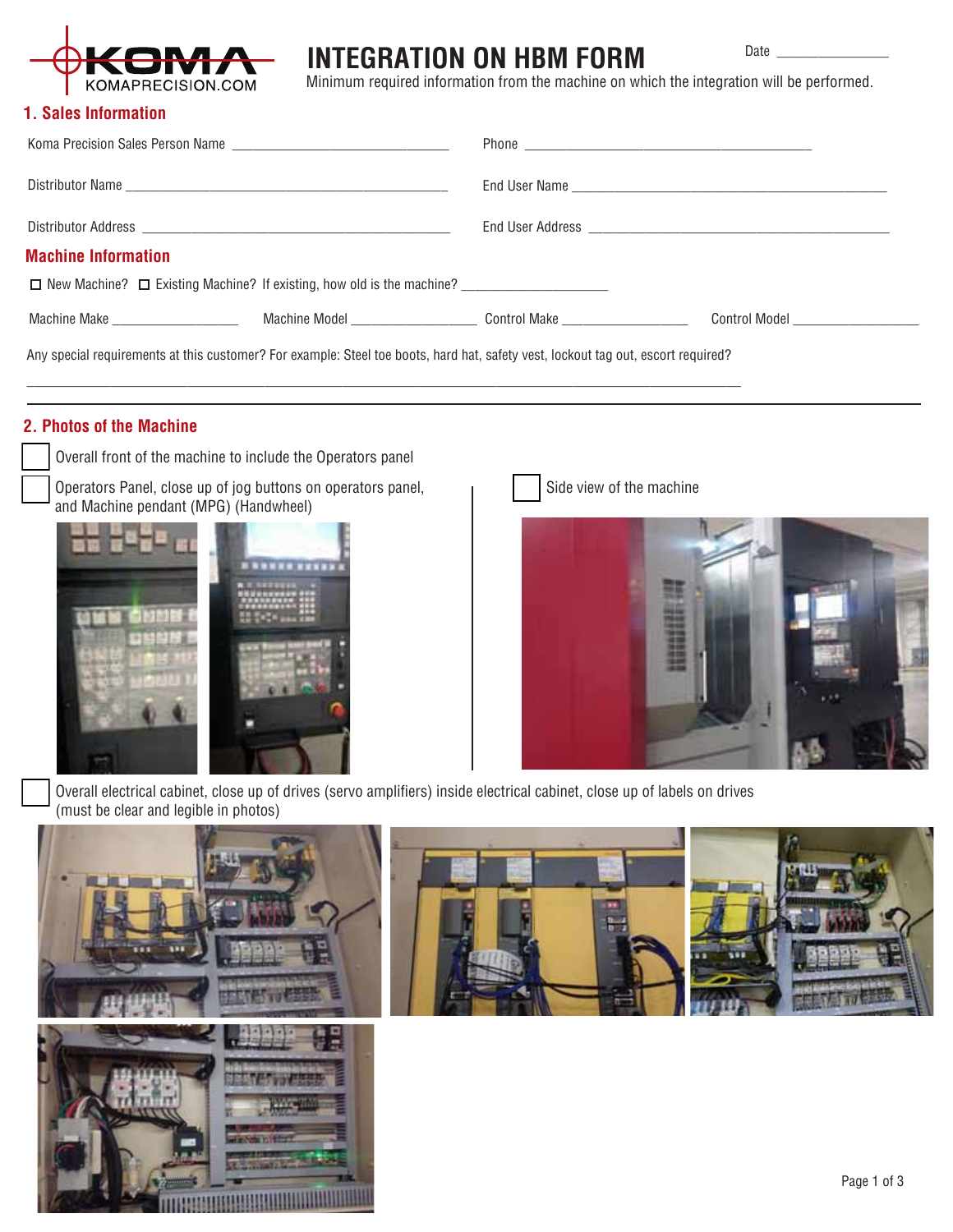

# **INTEGRATION ON HBM FORM**

Date

Minimum required information from the machine on which the integration will be performed.

#### **1. Sales Information**

| <b>Machine Information</b>                                                                                                        |  |  |  |
|-----------------------------------------------------------------------------------------------------------------------------------|--|--|--|
| □ New Machine? □ Existing Machine? If existing, how old is the machine?                                                           |  |  |  |
|                                                                                                                                   |  |  |  |
| Any special requirements at this customer? For example: Steel toe boots, hard hat, safety vest, lockout tag out, escort required? |  |  |  |

## **2. Photos of the Machine**

Overall front of the machine to include the Operators panel

Operators Panel, close up of jog buttons on operators panel, and Machine pendant (MPG) (Handwheel)



Side view of the machine



Overall electrical cabinet, close up of drives (servo amplifiers) inside electrical cabinet, close up of labels on drives (must be clear and legible in photos)

\_\_\_\_\_\_\_\_\_\_\_\_\_\_\_\_\_\_\_\_\_\_\_\_\_\_\_\_\_\_\_\_\_\_\_\_\_\_\_\_\_\_\_\_\_\_\_\_\_\_\_\_\_\_\_\_\_\_\_\_\_\_\_\_\_\_\_\_\_\_\_\_\_\_\_\_\_\_\_\_\_\_\_\_\_\_\_\_\_\_\_\_\_\_\_\_\_\_\_\_\_\_

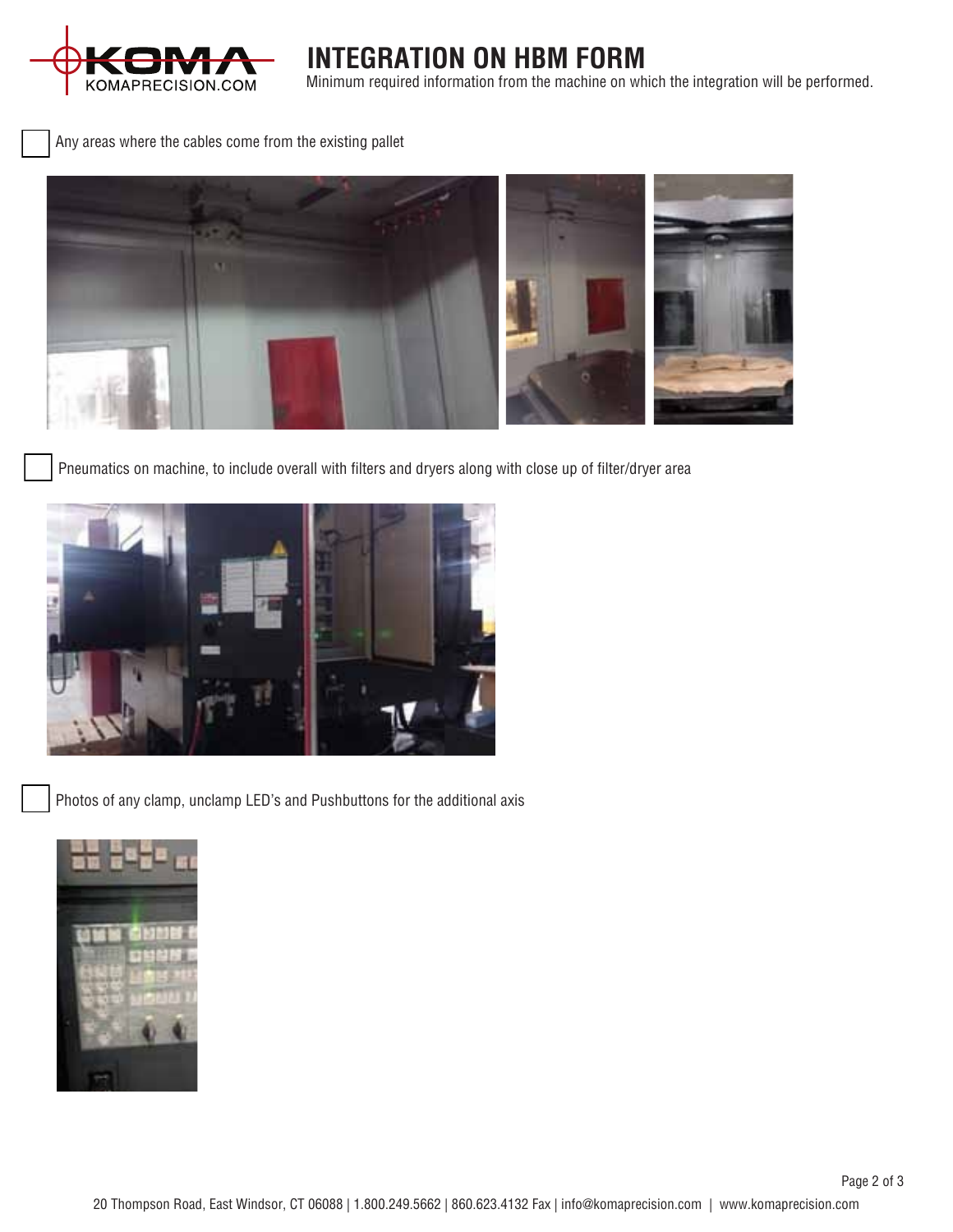

**INTEGRATION ON HBM FORM** Minimum required information from the machine on which the integration will be performed.

Any areas where the cables come from the existing pallet



Pneumatics on machine, to include overall with filters and dryers along with close up of filter/dryer area



Photos of any clamp, unclamp LED's and Pushbuttons for the additional axis